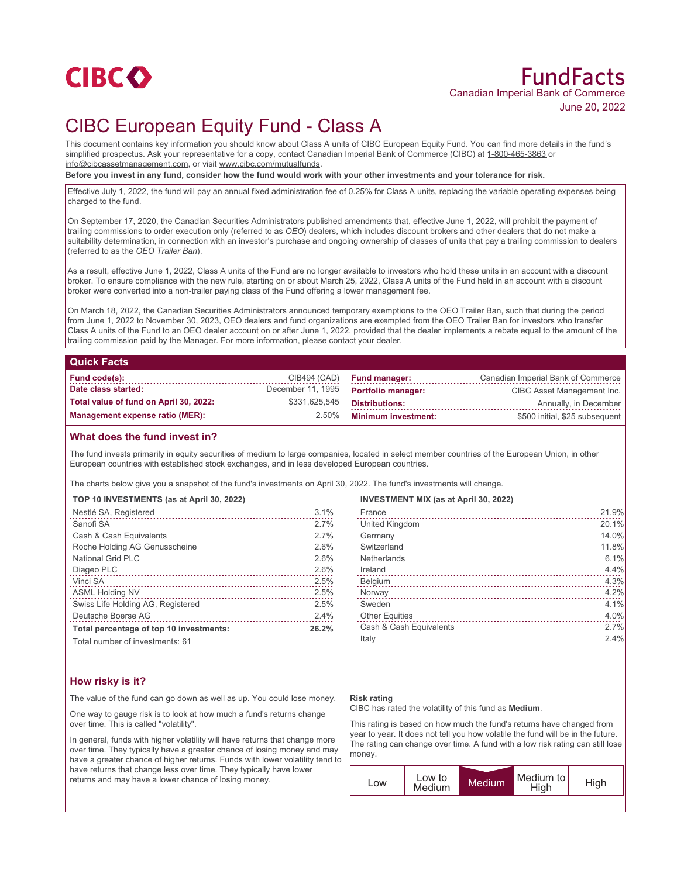

# FundFacts Canadian Imperial Bank of Commerce June 20, 2022

# CIBC European Equity Fund - Class A

This document contains key information you should know about Class A units of CIBC European Equity Fund. You can find more details in the fund's simplified prospectus. Ask your representative for a copy, contact Canadian Imperial Bank of Commerce (CIBC) at 1-800-465-3863 or info@cibcassetmanagement.com, or visit www.cibc.com/mutualfunds.

**Before you invest in any fund, consider how the fund would work with your other investments and your tolerance for risk.**

Effective July 1, 2022, the fund will pay an annual fixed administration fee of 0.25% for Class A units, replacing the variable operating expenses being charged to the fund.

On September 17, 2020, the Canadian Securities Administrators published amendments that, effective June 1, 2022, will prohibit the payment of trailing commissions to order execution only (referred to as *OEO*) dealers, which includes discount brokers and other dealers that do not make a suitability determination, in connection with an investor's purchase and ongoing ownership of classes of units that pay a trailing commission to dealers (referred to as the *OEO Trailer Ban*).

As a result, effective June 1, 2022, Class A units of the Fund are no longer available to investors who hold these units in an account with a discount broker. To ensure compliance with the new rule, starting on or about March 25, 2022, Class A units of the Fund held in an account with a discount broker were converted into a non-trailer paying class of the Fund offering a lower management fee.

On March 18, 2022, the Canadian Securities Administrators announced temporary exemptions to the OEO Trailer Ban, such that during the period from June 1, 2022 to November 30, 2023, OEO dealers and fund organizations are exempted from the OEO Trailer Ban for investors who transfer Class A units of the Fund to an OEO dealer account on or after June 1, 2022, provided that the dealer implements a rebate equal to the amount of the trailing commission paid by the Manager. For more information, please contact your dealer.

### **Quick Facts**

| Fund code(s):                          |                   | $CIB494$ $(CAD)$ Fund manager: | Canadian Imperial Bank of Commerce |
|----------------------------------------|-------------------|--------------------------------|------------------------------------|
| Date class started:                    | December 11, 1995 | <b>Portfolio manager:</b>      | CIBC Asset Management Inc.         |
| Total value of fund on April 30, 2022: | \$331,625,545     | Distributions:                 | Annually, in December              |
| Management expense ratio (MER):        | $2.50\%$          | <b>Minimum investment:</b>     | \$500 initial, \$25 subsequent     |

## **What does the fund invest in?**

The fund invests primarily in equity securities of medium to large companies, located in select member countries of the European Union, in other European countries with established stock exchanges, and in less developed European countries.

The charts below give you a snapshot of the fund's investments on April 30, 2022. The fund's investments will change.

| TOP 10 INVESTMENTS (as at April 30, 2022) |       |
|-------------------------------------------|-------|
| Nestlé SA, Registered                     | 3.1%  |
| Sanofi <sub>SA</sub>                      | 2.7%  |
| Cash & Cash Equivalents                   | 2.7%  |
| Roche Holding AG Genusscheine             | 2.6%  |
| <b>National Grid PLC</b>                  | 2.6%  |
| Diageo PLC                                | 2.6%  |
| Vinci SA                                  | 2.5%  |
| <b>ASML Holding NV</b>                    | 2.5%  |
| Swiss Life Holding AG, Registered         | 2.5%  |
| Deutsche Boerse AG                        | 2.4%  |
| Total percentage of top 10 investments:   | 26.2% |
| Total number of invootmantar 61           |       |

Total number of investments: 61

#### **INVESTMENT MIX (as at April 30, 2022)**

| France                  | 21.9% |
|-------------------------|-------|
| United Kingdom          | 20.1% |
| Germany                 | 14.0% |
| Switzerland             | 11.8% |
| <b>Netherlands</b>      | 6.1%  |
| Ireland                 | 4.4%  |
| Belgium                 | 4.3%  |
| Norway                  | 4.2%  |
| Sweden                  | 4.1%  |
| <b>Other Equities</b>   | 4.0%  |
| Cash & Cash Equivalents | 2.7%  |
| Italy                   | 2.4%  |
|                         |       |

## **How risky is it?**

The value of the fund can go down as well as up. You could lose money.

One way to gauge risk is to look at how much a fund's returns change over time. This is called "volatility".

In general, funds with higher volatility will have returns that change more over time. They typically have a greater chance of losing money and may have a greater chance of higher returns. Funds with lower volatility tend to have returns that change less over time. They typically have lower returns and may have a lower chance of losing money.

#### **Risk rating**

CIBC has rated the volatility of this fund as **Medium**.

This rating is based on how much the fund's returns have changed from year to year. It does not tell you how volatile the fund will be in the future. The rating can change over time. A fund with a low risk rating can still lose money.

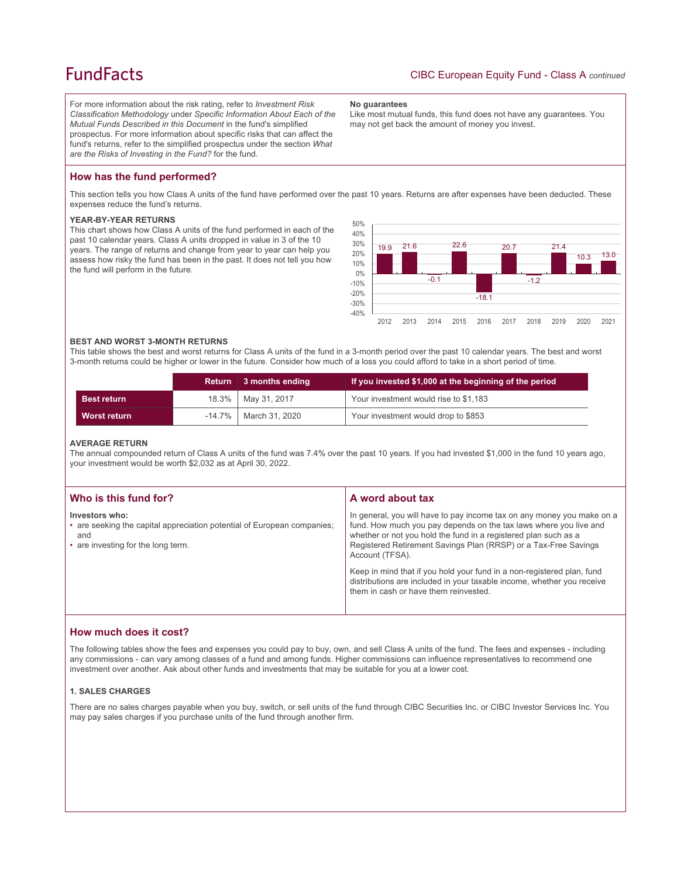# **FundFacts**

For more information about the risk rating, refer to *Investment Risk Classification Methodology* under *Specific Information About Each of the Mutual Funds Described in this Document* in the fund's simplified prospectus. For more information about specific risks that can affect the fund's returns, refer to the simplified prospectus under the section *What are the Risks of Investing in the Fund?* for the fund.

#### **No guarantees**

Like most mutual funds, this fund does not have any guarantees. You may not get back the amount of money you invest.

## **How has the fund performed?**

This section tells you how Class A units of the fund have performed over the past 10 years. Returns are after expenses have been deducted. These expenses reduce the fund's returns.

### **YEAR-BY-YEAR RETURNS**

This chart shows how Class A units of the fund performed in each of the past 10 calendar years. Class A units dropped in value in 3 of the 10 years. The range of returns and change from year to year can help you assess how risky the fund has been in the past. It does not tell you how the fund will perform in the future.



#### **BEST AND WORST 3-MONTH RETURNS**

This table shows the best and worst returns for Class A units of the fund in a 3-month period over the past 10 calendar years. The best and worst 3-month returns could be higher or lower in the future. Consider how much of a loss you could afford to take in a short period of time.

|                     | Return 3 months ending     | If you invested \$1,000 at the beginning of the period |
|---------------------|----------------------------|--------------------------------------------------------|
| <b>Best return</b>  | 18.3%   May 31, 2017       | Your investment would rise to \$1,183                  |
| <b>Worst return</b> | $-14.7\%$   March 31, 2020 | Your investment would drop to \$853                    |

#### **AVERAGE RETURN**

The annual compounded return of Class A units of the fund was 7.4% over the past 10 years. If you had invested \$1,000 in the fund 10 years ago, your investment would be worth \$2,032 as at April 30, 2022.

| Who is this fund for?                                                                                                                  | A word about tax                                                                                                                                                                                                                                                                                                                                                                                                                                                                                  |
|----------------------------------------------------------------------------------------------------------------------------------------|---------------------------------------------------------------------------------------------------------------------------------------------------------------------------------------------------------------------------------------------------------------------------------------------------------------------------------------------------------------------------------------------------------------------------------------------------------------------------------------------------|
| Investors who:<br>• are seeking the capital appreciation potential of European companies;<br>and<br>• are investing for the long term. | In general, you will have to pay income tax on any money you make on a<br>fund. How much you pay depends on the tax laws where you live and<br>whether or not you hold the fund in a registered plan such as a<br>Registered Retirement Savings Plan (RRSP) or a Tax-Free Savings<br>Account (TFSA).<br>Keep in mind that if you hold your fund in a non-registered plan, fund<br>distributions are included in your taxable income, whether you receive<br>them in cash or have them reinvested. |
|                                                                                                                                        |                                                                                                                                                                                                                                                                                                                                                                                                                                                                                                   |

## **How much does it cost?**

The following tables show the fees and expenses you could pay to buy, own, and sell Class A units of the fund. The fees and expenses - including any commissions - can vary among classes of a fund and among funds. Higher commissions can influence representatives to recommend one investment over another. Ask about other funds and investments that may be suitable for you at a lower cost.

### **1. SALES CHARGES**

There are no sales charges payable when you buy, switch, or sell units of the fund through CIBC Securities Inc. or CIBC Investor Services Inc. You may pay sales charges if you purchase units of the fund through another firm.